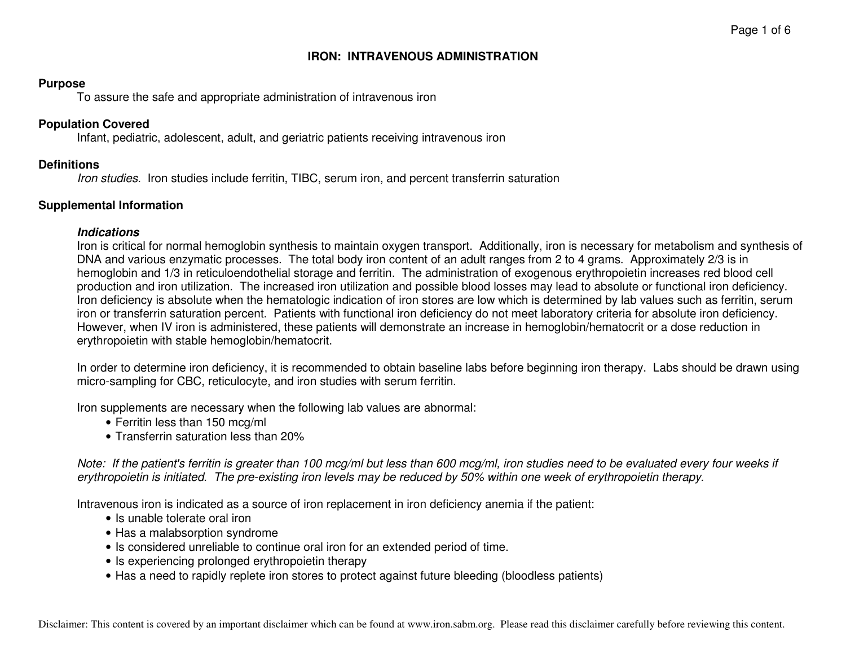## **IRON: INTRAVENOUS ADMINISTRATION**

#### **Purpose**

To assure the safe and appropriate administration of intravenous iron

#### **Population Covered**

Infant, pediatric, adolescent, adult, and geriatric patients receiving intravenous iron

#### **Definitions**

Iron studies. Iron studies include ferritin, TIBC, serum iron, and percent transferrin saturation

#### **Supplemental Information**

#### **Indications**

 Iron is critical for normal hemoglobin synthesis to maintain oxygen transport. Additionally, iron is necessary for metabolism and synthesis of DNA and various enzymatic processes. The total body iron content of an adult ranges from 2 to 4 grams. Approximately 2/3 is in hemoglobin and 1/3 in reticuloendothelial storage and ferritin. The administration of exogenous erythropoietin increases red blood cell production and iron utilization. The increased iron utilization and possible blood losses may lead to absolute or functional iron deficiency. Iron deficiency is absolute when the hematologic indication of iron stores are low which is determined by lab values such as ferritin, serum iron or transferrin saturation percent. Patients with functional iron deficiency do not meet laboratory criteria for absolute iron deficiency. However, when IV iron is administered, these patients will demonstrate an increase in hemoglobin/hematocrit or a dose reduction in erythropoietin with stable hemoglobin/hematocrit.

In order to determine iron deficiency, it is recommended to obtain baseline labs before beginning iron therapy. Labs should be drawn using micro-sampling for CBC, reticulocyte, and iron studies with serum ferritin.

Iron supplements are necessary when the following lab values are abnormal:

- Ferritin less than 150 mcg/ml
- Transferrin saturation less than 20%

Note: If the patient's ferritin is greater than 100 mcg/ml but less than 600 mcg/ml, iron studies need to be evaluated every four weeks if erythropoietin is initiated. The pre-existing iron levels may be reduced by 50% within one week of erythropoietin therapy.

Intravenous iron is indicated as a source of iron replacement in iron deficiency anemia if the patient:

- Is unable tolerate oral iron
- Has a malabsorption syndrome
- Is considered unreliable to continue oral iron for an extended period of time.
- Is experiencing prolonged erythropoietin therapy
- Has a need to rapidly replete iron stores to protect against future bleeding (bloodless patients)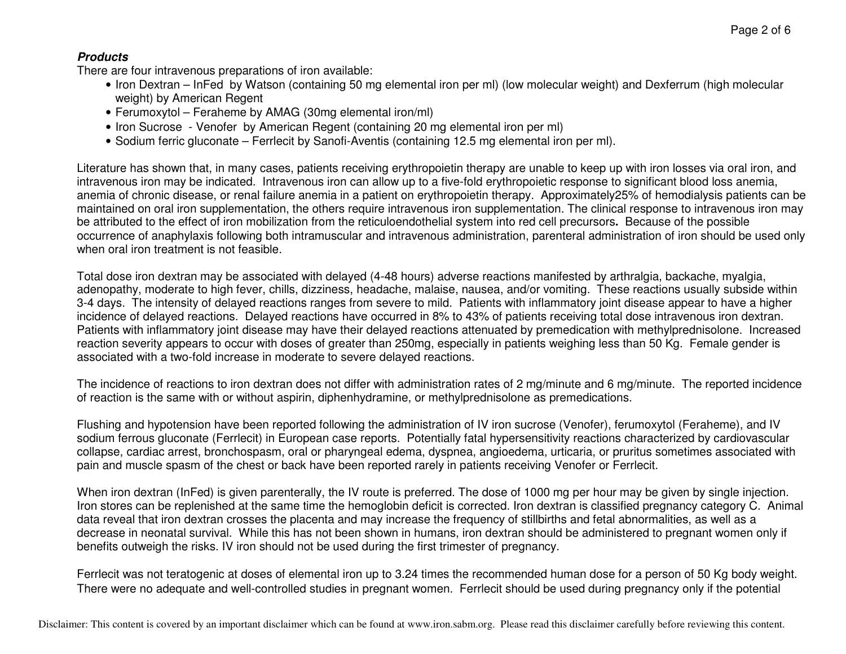## **Products**

There are four intravenous preparations of iron available:

- Iron Dextran InFed by Watson (containing 50 mg elemental iron per ml) (low molecular weight) and Dexferrum (high molecular weight) by American Regent
- Ferumoxytol Feraheme by AMAG (30mg elemental iron/ml)
- Iron Sucrose Venofer by American Regent (containing 20 mg elemental iron per ml)
- Sodium ferric gluconate Ferrlecit by Sanofi-Aventis (containing 12.5 mg elemental iron per ml).

Literature has shown that, in many cases, patients receiving erythropoietin therapy are unable to keep up with iron losses via oral iron, and intravenous iron may be indicated. Intravenous iron can allow up to a five-fold erythropoietic response to significant blood loss anemia, anemia of chronic disease, or renal failure anemia in a patient on erythropoietin therapy. Approximately25% of hemodialysis patients can be maintained on oral iron supplementation, the others require intravenous iron supplementation. The clinical response to intravenous iron may be attributed to the effect of iron mobilization from the reticuloendothelial system into red cell precursors**.** Because of the possible occurrence of anaphylaxis following both intramuscular and intravenous administration, parenteral administration of iron should be used only when oral iron treatment is not feasible.

Total dose iron dextran may be associated with delayed (4-48 hours) adverse reactions manifested by arthralgia, backache, myalgia, adenopathy, moderate to high fever, chills, dizziness, headache, malaise, nausea, and/or vomiting. These reactions usually subside within 3-4 days. The intensity of delayed reactions ranges from severe to mild. Patients with inflammatory joint disease appear to have a higher incidence of delayed reactions. Delayed reactions have occurred in 8% to 43% of patients receiving total dose intravenous iron dextran. Patients with inflammatory joint disease may have their delayed reactions attenuated by premedication with methylprednisolone. Increased reaction severity appears to occur with doses of greater than 250mg, especially in patients weighing less than 50 Kg. Female gender is associated with a two-fold increase in moderate to severe delayed reactions.

The incidence of reactions to iron dextran does not differ with administration rates of 2 mg/minute and 6 mg/minute. The reported incidence of reaction is the same with or without aspirin, diphenhydramine, or methylprednisolone as premedications.

Flushing and hypotension have been reported following the administration of IV iron sucrose (Venofer), ferumoxytol (Feraheme), and IV sodium ferrous gluconate (Ferrlecit) in European case reports. Potentially fatal hypersensitivity reactions characterized by cardiovascular collapse, cardiac arrest, bronchospasm, oral or pharyngeal edema, dyspnea, angioedema, urticaria, or pruritus sometimes associated with pain and muscle spasm of the chest or back have been reported rarely in patients receiving Venofer or Ferrlecit.

When iron dextran (InFed) is given parenterally, the IV route is preferred. The dose of 1000 mg per hour may be given by single injection. Iron stores can be replenished at the same time the hemoglobin deficit is corrected. Iron dextran is classified pregnancy category C. Animal data reveal that iron dextran crosses the placenta and may increase the frequency of stillbirths and fetal abnormalities, as well as a decrease in neonatal survival. While this has not been shown in humans, iron dextran should be administered to pregnant women only if benefits outweigh the risks. IV iron should not be used during the first trimester of pregnancy.

Ferrlecit was not teratogenic at doses of elemental iron up to 3.24 times the recommended human dose for a person of 50 Kg body weight. There were no adequate and well-controlled studies in pregnant women. Ferrlecit should be used during pregnancy only if the potential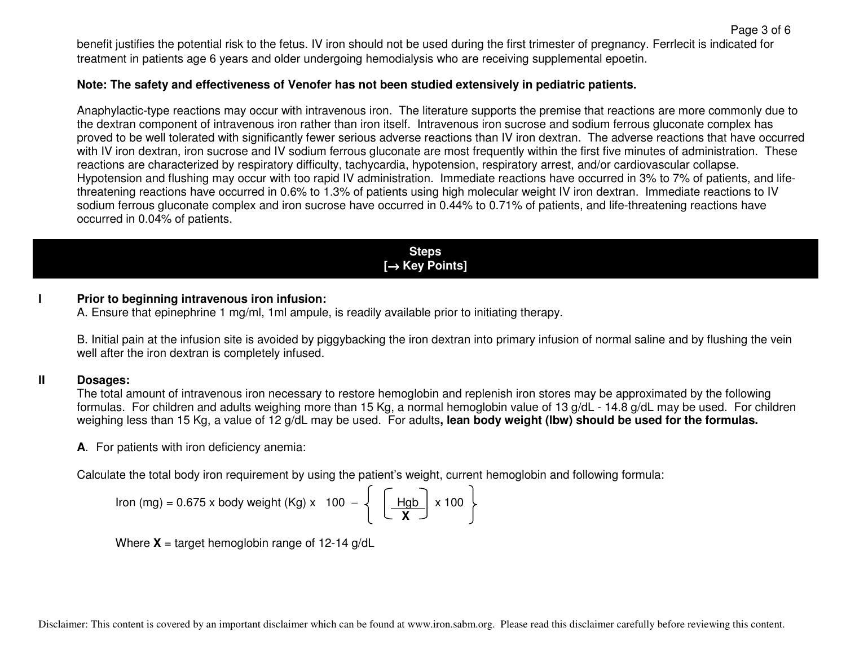benefit justifies the potential risk to the fetus. IV iron should not be used during the first trimester of pregnancy. Ferrlecit is indicated for treatment in patients age 6 years and older undergoing hemodialysis who are receiving supplemental epoetin.

## **Note: The safety and effectiveness of Venofer has not been studied extensively in pediatric patients.**

Anaphylactic-type reactions may occur with intravenous iron. The literature supports the premise that reactions are more commonly due to the dextran component of intravenous iron rather than iron itself. Intravenous iron sucrose and sodium ferrous gluconate complex has proved to be well tolerated with significantly fewer serious adverse reactions than IV iron dextran. The adverse reactions that have occurred with IV iron dextran, iron sucrose and IV sodium ferrous gluconate are most frequently within the first five minutes of administration. These reactions are characterized by respiratory difficulty, tachycardia, hypotension, respiratory arrest, and/or cardiovascular collapse. Hypotension and flushing may occur with too rapid IV administration. Immediate reactions have occurred in 3% to 7% of patients, and lifethreatening reactions have occurred in 0.6% to 1.3% of patients using high molecular weight IV iron dextran. Immediate reactions to IV sodium ferrous gluconate complex and iron sucrose have occurred in 0.44% to 0.71% of patients, and life-threatening reactions have occurred in 0.04% of patients.

> **Steps [**→ **Key Points]**

## **I Prior to beginning intravenous iron infusion:**

A. Ensure that epinephrine 1 mg/ml, 1ml ampule, is readily available prior to initiating therapy.

B. Initial pain at the infusion site is avoided by piggybacking the iron dextran into primary infusion of normal saline and by flushing the vein well after the iron dextran is completely infused.

#### **II Dosages:**

 The total amount of intravenous iron necessary to restore hemoglobin and replenish iron stores may be approximated by the following formulas. For children and adults weighing more than 15 Kg, a normal hemoglobin value of 13 g/dL - 14.8 g/dL may be used. For children weighing less than 15 Kg, a value of 12 g/dL may be used. For adults**, lean body weight (lbw) should be used for the formulas.** 

**A**. For patients with iron deficiency anemia:

Calculate the total body iron requirement by using the patient's weight, current hemoglobin and following formula:

$$
Iron (mg) = 0.675 \times body weight (Kg) \times 100 - \left\{ \begin{array}{c} \boxed{Hgb} \times 100 \end{array} \right\}
$$

Where  $X = \text{target}$  hemoglobin range of 12-14 g/dL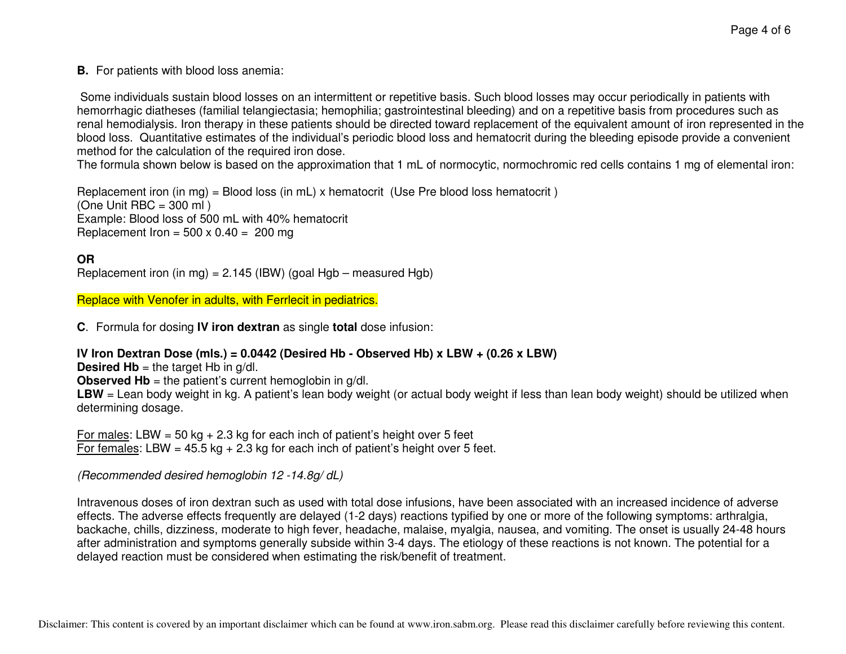**B.** For patients with blood loss anemia:

 Some individuals sustain blood losses on an intermittent or repetitive basis. Such blood losses may occur periodically in patients with hemorrhagic diatheses (familial telangiectasia; hemophilia; gastrointestinal bleeding) and on a repetitive basis from procedures such as renal hemodialysis. Iron therapy in these patients should be directed toward replacement of the equivalent amount of iron represented in the blood loss. Quantitative estimates of the individual's periodic blood loss and hematocrit during the bleeding episode provide a convenient method for the calculation of the required iron dose.

The formula shown below is based on the approximation that 1 mL of normocytic, normochromic red cells contains 1 mg of elemental iron:

Replacement iron (in mg) = Blood loss (in mL) x hematocrit (Use Pre blood loss hematocrit )  $(One Unit BBC = 300 ml)$  Example: Blood loss of 500 mL with 40% hematocrit Replacement Iron =  $500 \times 0.40 = 200$  mg

# **OR**

Replacement iron (in mg) = 2.145 (IBW) (goal Hgb – measured Hgb)

Replace with Venofer in adults, with Ferrlecit in pediatrics.

**C**. Formula for dosing **IV iron dextran** as single **total** dose infusion:

# **IV Iron Dextran Dose (mls.) = 0.0442 (Desired Hb - Observed Hb) x LBW + (0.26 x LBW)**

**Desired Hb** = the target Hb in  $q/dl$ .

**Observed Hb** = the patient's current hemoglobin in g/dl.

LBW = Lean body weight in kg. A patient's lean body weight (or actual body weight if less than lean body weight) should be utilized when determining dosage.

For males: LBW = 50 kg  $+ 2.3$  kg for each inch of patient's height over 5 feet For females: LBW =  $45.5$  kg + 2.3 kg for each inch of patient's height over 5 feet.

(Recommended desired hemoglobin 12 -14.8g/ dL)

Intravenous doses of iron dextran such as used with total dose infusions, have been associated with an increased incidence of adverse effects. The adverse effects frequently are delayed (1-2 days) reactions typified by one or more of the following symptoms: arthralgia, backache, chills, dizziness, moderate to high fever, headache, malaise, myalgia, nausea, and vomiting. The onset is usually 24-48 hours after administration and symptoms generally subside within 3-4 days. The etiology of these reactions is not known. The potential for a delayed reaction must be considered when estimating the risk/benefit of treatment.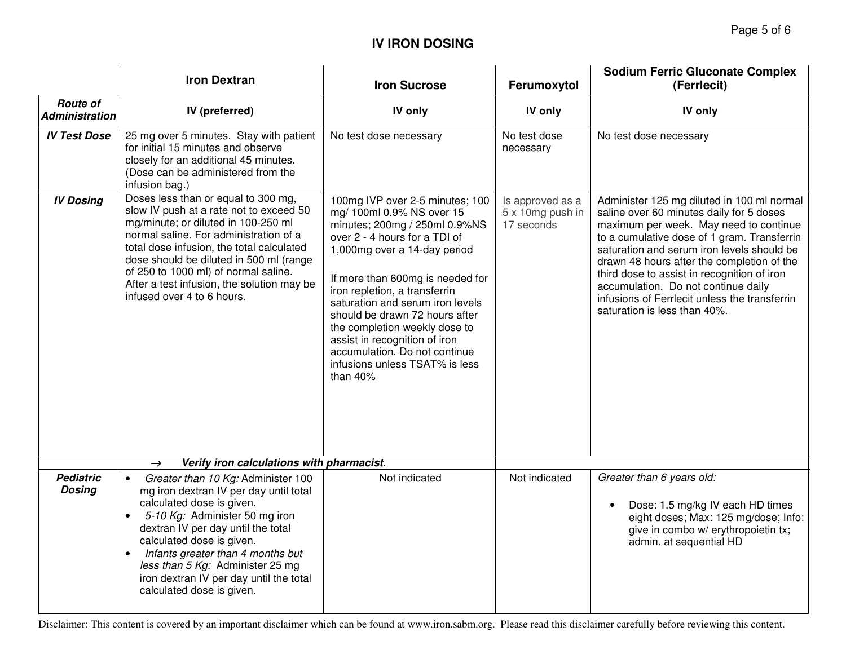# **IV IRON DOSING**

|                                                            | <b>Iron Dextran</b>                                                                                                                                                                                                                                                                                                                                                                                    | <b>Iron Sucrose</b>                                                                                                                                                                                                                                                                                                                                                                                                                                        | Ferumoxytol                                        | <b>Sodium Ferric Gluconate Complex</b><br>(Ferrlecit)                                                                                                                                                                                                                                                                                                                                                                                              |
|------------------------------------------------------------|--------------------------------------------------------------------------------------------------------------------------------------------------------------------------------------------------------------------------------------------------------------------------------------------------------------------------------------------------------------------------------------------------------|------------------------------------------------------------------------------------------------------------------------------------------------------------------------------------------------------------------------------------------------------------------------------------------------------------------------------------------------------------------------------------------------------------------------------------------------------------|----------------------------------------------------|----------------------------------------------------------------------------------------------------------------------------------------------------------------------------------------------------------------------------------------------------------------------------------------------------------------------------------------------------------------------------------------------------------------------------------------------------|
| <b>Route of</b><br><b>Administration</b>                   | IV (preferred)                                                                                                                                                                                                                                                                                                                                                                                         | IV only                                                                                                                                                                                                                                                                                                                                                                                                                                                    | IV only                                            | IV only                                                                                                                                                                                                                                                                                                                                                                                                                                            |
| <b>IV Test Dose</b>                                        | 25 mg over 5 minutes. Stay with patient<br>for initial 15 minutes and observe<br>closely for an additional 45 minutes.<br>(Dose can be administered from the<br>infusion bag.)                                                                                                                                                                                                                         | No test dose necessary                                                                                                                                                                                                                                                                                                                                                                                                                                     | No test dose<br>necessary                          | No test dose necessary                                                                                                                                                                                                                                                                                                                                                                                                                             |
| <b>IV Dosing</b>                                           | Doses less than or equal to 300 mg,<br>slow IV push at a rate not to exceed 50<br>mg/minute; or diluted in 100-250 ml<br>normal saline. For administration of a<br>total dose infusion, the total calculated<br>dose should be diluted in 500 ml (range<br>of 250 to 1000 ml) of normal saline.<br>After a test infusion, the solution may be<br>infused over 4 to 6 hours.                            | 100mg IVP over 2-5 minutes; 100<br>mg/ 100ml 0.9% NS over 15<br>minutes; 200mg / 250ml 0.9%NS<br>over 2 - 4 hours for a TDI of<br>1,000mg over a 14-day period<br>If more than 600mg is needed for<br>iron repletion, a transferrin<br>saturation and serum iron levels<br>should be drawn 72 hours after<br>the completion weekly dose to<br>assist in recognition of iron<br>accumulation. Do not continue<br>infusions unless TSAT% is less<br>than 40% | Is approved as a<br>5 x 10mg push in<br>17 seconds | Administer 125 mg diluted in 100 ml normal<br>saline over 60 minutes daily for 5 doses<br>maximum per week. May need to continue<br>to a cumulative dose of 1 gram. Transferrin<br>saturation and serum iron levels should be<br>drawn 48 hours after the completion of the<br>third dose to assist in recognition of iron<br>accumulation. Do not continue daily<br>infusions of Ferrlecit unless the transferrin<br>saturation is less than 40%. |
| Verify iron calculations with pharmacist.<br>$\rightarrow$ |                                                                                                                                                                                                                                                                                                                                                                                                        |                                                                                                                                                                                                                                                                                                                                                                                                                                                            |                                                    |                                                                                                                                                                                                                                                                                                                                                                                                                                                    |
| <b>Pediatric</b><br><b>Dosing</b>                          | Greater than 10 Kg: Administer 100<br>$\bullet$<br>mg iron dextran IV per day until total<br>calculated dose is given.<br>5-10 Kg: Administer 50 mg iron<br>$\bullet$<br>dextran IV per day until the total<br>calculated dose is given.<br>Infants greater than 4 months but<br>$\bullet$<br>less than 5 Kg: Administer 25 mg<br>iron dextran IV per day until the total<br>calculated dose is given. | Not indicated                                                                                                                                                                                                                                                                                                                                                                                                                                              | Not indicated                                      | Greater than 6 years old:<br>Dose: 1.5 mg/kg IV each HD times<br>eight doses; Max: 125 mg/dose; Info:<br>give in combo w/ erythropoietin tx;<br>admin. at sequential HD                                                                                                                                                                                                                                                                            |

Disclaimer: This content is covered by an important disclaimer which can be found at www.iron.sabm.org. Please read this disclaimer carefully before reviewing this content.